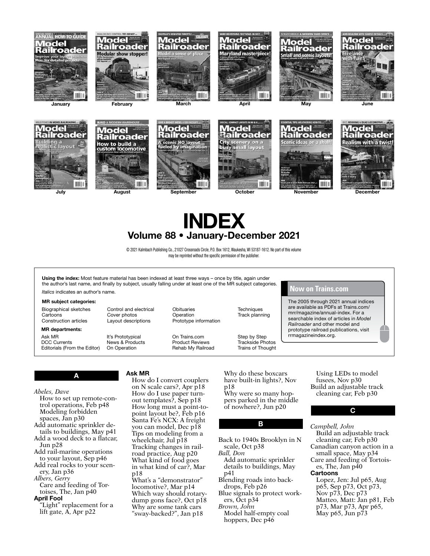

UUT I

m









# INDEX Volume 88 • January-December 2021

© 2021 Kalmbach Publishing Co., 21027 Crossroads Circle, P.O. Box 1612, Waukesha, WI 53187-1612. No part of this volume may be reprinted without the specific permission of the publisher.

Using the index: Most feature material has been indexed at least three ways - once by title, again under the author's last name, and finally by subject, usually falling under at least one of the MR subject categories.

*Italics* indicates an author's name.

#### MR subject categories:

Biographical sketches Cartoons Construction articles

MR departments:

Ask MR DCC Currents Editorials (From the Editor)

It's Prototypical News & Products On Operation

Control and electrical Cover photos Layout descriptions

**Obituaries** Operation Prototype information

On Trains.com Product Reviews Rehab My Railroad **Techniques** Track planning

Step by Step Trackside Photos Trains of Thought

## **Now on Trains.com**

The 2005 through 2021 annual indices are available as PDFs at Trains.com/ mrr/magazine/annual-index. For a searchable index of articles in *Model Railroader* and other model and prototype railroad publications, visit rrmagazineindex.org.

## A

*Abeles, Dave*

- How to set up remote-control operations, Feb p48 Modeling forbidden spaces, Jan p30
- Add automatic sprinkler details to buildings, May p41
- Add a wood deck to a flatcar, Jun p28
- Add rail-marine operations to your layout, Sep p46
- Add real rocks to your scenery, Jan p36
- *Albers, Gerry*
- Care and feeding of Tortoises, The, Jan p40

#### April Fool

"Light" replacement for a lift gate, A, Apr p22

#### Ask MR

How do I convert couplers on N scale cars?, Apr p18 How do I use paper turnout templates?, Sep p18 How long must a point-topoint layout be?, Feb p16 Santa Fe's NCX: A freight you can model, Dec p18 Tips on modeling from a wheelchair, Jul p18 Tracking changes in railroad practice, Aug p20 What kind of food goes in what kind of car?, Mar p18

What's a "demonstrator" locomotive?, Mar p14 Which way should rotarydump gons face?, Oct p18 Why are some tank cars "sway-backed?", Jan p18

Why do these boxcars have built-in lights?, Nov p18 Why were so many hoppers parked in the middle of nowhere?, Jun p20

### B

Back to 1940s Brooklyn in N scale, Oct p38 *Ball, Don* Add automatic sprinkler details to buildings, May p41 Blending roads into backdrops, Feb p26 Blue signals to protect work-

ers, Oct p34

*Brown, John* Model half-empty coal hoppers, Dec p46

Using LEDs to model fusees. Nov p30 Build an adjustable track cleaning car, Feb p30

C

#### *Campbell, John*

Build an adjustable track cleaning car, Feb p30 Canadian canyon action in a small space, May p34 Care and feeding of Tortoises, The, Jan  $p\bar{4}0$ **Cartoons** Lopez, Jen: Jul p65, Aug p65, Sep p73, Oct p73, Nov p73, Dec p73 Matteo, Matt: Jan p81, Feb p73, Mar p73, Apr p65,

May p65, Jun p73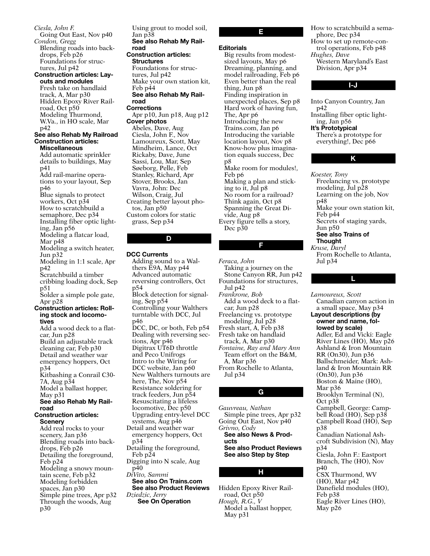Going Out East, Nov p40 *Condon, Gregg* Blending roads into backdrops, Feb p26 Foundations for structures, Jul p42 Construction articles: Layouts and modules Fresh take on handlaid track, A, Mar p30 Hidden Epoxy River Railroad, Oct p50 Modeling Thurmond, W.Va., in HO scale, Mar p42 See also Rehab My Railroad Construction articles: Miscellaneous Add automatic sprinkler details to buildings, May p41 Add rail-marine operations to your layout, Sep p46 Blue signals to protect workers, Oct p34 How to scratchbuild a semaphore, Dec p34 Installing fiber optic lighting, Jan p56 Modeling a flatcar load, Mar p48 Modeling a switch heater, Jun p32 Modeling in 1:1 scale, Apr p42 Scratchbuild a timber cribbing loading dock, Sep p51 Solder a simple pole gate, Apr p28 Construction articles: Rolling stock and locomotives Add a wood deck to a flatcar, Jun p28 Build an adjustable track cleaning car, Feb p30 Detail and weather war emergency hoppers, Oct p34 Kitbashing a Conrail C30- 7A, Aug p34 Model a ballast hopper, May p31 See also Rehab My Railroad Construction articles: Scenery Add real rocks to your scenery, Jan p36 Blending roads into backdrops, Feb p26 Detailing the foreground, Feb p24 Modeling a snowy mountain scene, Feb p32 Modeling forbidden spaces, Jan p30 Simple pine trees, Apr p32 Through the woods, Aug p30

*Ciesla, John F.*

Using grout to model soil, Jan p38 See also Rehab My Railroad Construction articles: **Structures** Foundations for structures, Jul p42 Make your own station kit, Feb p44 See also Rehab My Railroad Corrections Apr p10, Jun p18, Aug p12 Cover photos Abeles, Dave, Aug Ciesla, John F., Nov Lamoureux, Scott, May Mindheim, Lance, Oct Rickaby, Dave, June Sassi, Lou, Mar, Sep Søeborg, Pelle, Feb Stanley, Richard, Apr Stover, Brooks, Jan Vavra, John: Dec Wilson, Craig, Jul Creating better layout photos, Jan p50 Custom colors for static grass, Sep p34 D

#### DCC Currents

Adding sound to a Walthers E9A, May p44 Advanced automatic reversing controllers, Oct p54 Block detection for signaling, Sep p54 Controlling your Walthers turntable with DCC, Jul p46 DCC, DC, or both, Feb p54 Dealing with reversing sections, Apr p46 Digitrax UT6D throttle and Peco Unifrogs Intro to the Wiring for DCC website, Jan p60 New Walthers turnouts are here, The, Nov p54 Resistance soldering for track feeders, Jun p54 Resuscitating a lifeless locomotive, Dec p50 Upgrading entry-level DCC systems, Aug p46 Detail and weather war emergency hoppers, Oct p34 Detailing the foreground, Feb p24 Digging into N scale, Aug p40 *DiVito, Sammi* See also On Trains.com See also Product Reviews *Dziedzic, Jerry* See On Operation

E

#### **Editorials**

Big results from modestsized layouts, May p6 Dreaming, planning, and model railroading, Feb p6 Even better than the real thing, Jun p8 Finding inspiration in unexpected places, Sep p8 Hard work of having fun, The, Apr p6 Introducing the new Trains.com, Jan p6 Introducing the variable location layout, Nov p8 Know-how plus imagination equals success, Dec p8 Make room for modules!, Feb p6 Making a plan and sticking to it, Jul p8 No room for a railroad? Think again, Oct p8 Spanning the Great Divide, Aug p8 Every figure tells a story, Dec p30

#### F

*Feraca, John* Taking a journey on the Stone Canyon RR, Jun p42 Foundations for structures, Jul p42 *Frankrone, Bob* Add a wood deck to a flatcar, Jun p28 Freelancing vs. prototype modeling, Jul p28 Fresh start, A, Feb p38 Fresh take on handlaid track, A, Mar p30 *Fontaine, Ray and Mary Ann* Team effort on the B&M, A, Mar p36 From Rochelle to Atlanta, Jul p34

*Gauvreau, Nathan* Simple pine trees, Apr p32 Going Out East, Nov p40 *Grivno, Cody* See also News & Products See also Product Reviews See also Step by Step

G

#### H

Hidden Epoxy River Railroad, Oct p50 *Hough, R.G., V* Model a ballast hopper, May p31

How to scratchbuild a semaphore, Dec p34 How to set up remote-con-

trol operations, Feb p48 *Hughes, Dave*

Western Maryland's East Division, Apr p34

#### I-J

Into Canyon Country, Jan p42 Installing fiber optic lighting, Jan p56 It's Prototypical There's a prototype for everything!, Dec p66

### K

*Koester, Tony* Freelancing vs. prototype modeling, Jul p28 Learning on the job, Nov p48 Make your own station kit, Feb p44 Secrets of staging yards, Jun p50 See also Trains of **Thought** *Kruse, Daryl* From Rochelle to Atlanta, Jul p34



*Lamoureux, Scott* Canadian canyon action in a small space, May p34 Layout descriptions (by owner and name, followed by scale) Adler, Ed and Vicki: Eagle River Lines (HO), May p26 Ashland & Iron Mountain RR (On30), Jun p36 Ballschmeider, Mark: Ashland & Iron Mountain RR (On30), Jun p36 Boston & Maine (HO), Mar p36 Brooklyn Terminal (N), Oct p38 Campbell, George: Campbell Road (HO), Sep p38 Campbell Road (HO), Sep p38 Canadian National Ashcroft Subdivision (N), May p34 Ciesla, John F.: Eastport Branch, The (HO), Nov p40 CSX Thurmond, WV (HO), Mar p42 Danefield modules (HO), Feb p38 Eagle River Lines (HO), May p26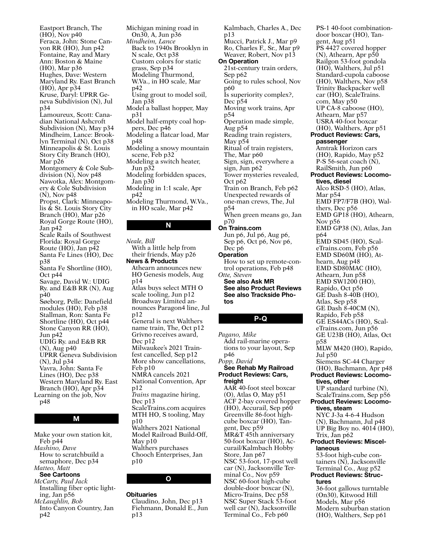Eastport Branch, The (HO), Nov p40 Feraca, John: Stone Canyon RR (HO), Jun p42 Fontaine, Ray and Mary Ann: Boston & Maine (HO), Mar p36 Hughes, Dave: Western Maryland Ry. East Branch (HO), Apr p34 Kruse, Daryl: UPRR Geneva Subdivision (N), Jul p34 Lamoureux, Scott: Canadian National Ashcroft Subdivision (N), May p34 Mindheim, Lance: Brooklyn Terminal (N), Oct p38 Minneapolis & St. Louis Story City Branch (HO), Mar p26 Montgomery & Cole Subdivision (N), Nov p48 Nawotka, Alex: Montgomery & Cole Subdivision (N), Nov p48 Propst, Clark: Minneapolis & St. Louis Story City Branch (HO), Mar p26 Royal Gorge Route (HO), Jan p42 Scale Rails of Southwest Florida: Royal Gorge Route (HO), Jan p42 Santa Fe Lines (HO), Dec p38 Santa Fe Shortline (HO), Oct p44 Savage, David W.: UDIG Ry. and E&B RR (N), Aug p40 Søeborg, Pelle: Danefield modules (HO), Feb p38 Stallman, Ron: Santa Fe Shortline (HO), Oct p44 Stone Canyon RR (HO), Jun p42 UDIG Ry. and E&B RR (N), Aug p40 UPRR Geneva Subdivision (N), Jul p34 Vavra, John: Santa Fe Lines (HO), Dec p38 Western Maryland Ry. East Branch (HO), Apr p34 Learning on the job, Nov p48

### M

Make your own station kit, Feb p44 *Mashino, Dave* How to scratchbuild a semaphore, Dec p34 *Matteo, Matt* See Cartoons *McCarty, Paul Jack* Installing fiber optic lighting, Jan p56 *McLaughlin, Bob* Into Canyon Country, Jan p42

Michigan mining road in On30, A, Jun p36 *Mindheim, Lance* Back to 1940s Brooklyn in N scale, Oct p38 Custom colors for static grass, Sep p34 Modeling Thurmond, W.Va., in HO scale, Mar p42 Using grout to model soil, Jan p38 Model a ballast hopper, May p31 Model half-empty coal hoppers, Dec p46 Modeling a flatcar load, Mar p48 Modeling a snowy mountain scene, Feb p32 Modeling a switch heater, Jun p32 Modeling forbidden spaces, Jan p30 Modeling in 1:1 scale, Apr p42 Modeling Thurmond, W.Va., in HO scale, Mar p42 N

*Neale, Bill* With a little help from their friends, May p26 News & Products Athearn announces new HO Genesis models, Aug p14 Atlas buys select MTH O scale tooling, Jun p12 Broadway Limited announces Paragon4 line, Jul p12 General is next Walthers name train, The, Oct p12 Grivno receives award, Dec p12 Milwaukee's 2021 Trainfest cancelled, Sep p12 More show cancellations, Feb p10 NMRA cancels 2021 National Convention, Apr p12 *Trains* magazine hiring, Dec p13 ScaleTrains.com acquires MTH HO, S tooling, May p10 Walthers 2021 National Model Railroad Build-Off, May p10 Walthers purchases Chooch Enterprises, Jan p10

#### **Obituaries**

Claudino, John, Dec p13 Fiehmann, Donald E., Jun p13

O

Kalmbach, Charles A., Dec p13 Mucci, Patrick J., Mar p9 Ro, Charles F., Sr., Mar p9 Weaver, Robert, Nov p13 On Operation 21st-century train orders, Sep p62 Going to rules school, Nov p60 Is superiority complex?, Dec p54 Moving work trains, Apr p54 Operation made simple, Aug p54 Reading train registers, May p54 Ritual of train registers, The, Mar p60 Sign, sign, everywhere a sign, Jun p62 Tower mysteries revealed, Oct p62 Train on Branch, Feb p62 Unexpected rewards of one-man crews, The, Jul p54 When green means go, Jan p70 On Trains.com Jun p6, Jul p6, Aug p6, Sep p6, Oct p6, Nov p6, Dec p6 **Operation** How to set up remote-control operations, Feb p48 *Otte, Steven* See also Ask MR See also Product Reviews See also Trackside Photos

#### P-Q

*Pagano, Mike* Add rail-marine operations to your layout, Sep p46 *Popp, David* See Rehab My Railroad Product Reviews: Cars, freight AAR 40-foot steel boxcar (O), Atlas O, May p51 ACF 2-bay covered hopper (HO), Accurail, Sep p60 Greenville 86-foot highcube boxcar (HO), Tangent, Dec p59 MR&T 45th anniversary 50-foot boxcar (HO), Accurail/Kalmbach Hobby Store, Jan p67 NSC 53-foot, 17-post well car (N), Jacksonville Terminal Co., Nov p59 NSC 60-foot high-cube double-door boxcar (N), Micro-Trains, Dec p58 NSC Super Stack 53-foot well car (N), Jacksonville Terminal Co., Feb p60

PS-1 40-foot combinationdoor boxcar (HO), Tangent, Aug p51 PS 4427 covered hopper (N), Athearn, Apr p50 Railgon 53-foot gondola (HO), Walthers, Jul p51 Standard-cupola caboose (HO), Walthers, Nov p58 Trinity Backpacker well car (HO), ScaleTrains. com, May p50 UP CA-8 caboose (HO), Athearn, Mar p57 USRA 40-foot boxcar (HO), Walthers, Apr p51 Product Reviews: Cars, passenger Amtrak Horizon cars (HO), Rapido, May p52 P-S 56-seat coach (N), RailSmith, Jun p60 Product Reviews: Locomotives, diesel Alco RSD-5 (HO), Atlas, Mar p54 EMD FP7/F7B (HO), Walthers, Dec p56 EMD GP18 (HO), Athearn, Nov p56 EMD GP38 (N), Atlas, Jan p64 EMD SD45 (HO), ScaleTrains.com, Feb p56 EMD SD60M (HO), Athearn, Aug p48 EMD SD80MAC (HO), Athearn, Jun p58 EMD SW1200 (HO), Rapido, Oct p56 GE Dash 8-40B (HO), Atlas, Sep p58 GE Dash 8-40CM (N), Rapido, Feb p58 GE ES44ACs (HO), ScaleTrains.com, Jun p56 GE U23B (HO), Atlas, Oct p58 MLW M420 (HO), Rapido, Jul p50 Siemens SC-44 Charger (HO), Bachmann, Apr p48 Product Reviews: Locomotives, other UP standard turbine (N), ScaleTrains.com, Sep p56 Product Reviews: Locomotives, steam NYC J-3a 4-6-4 Hudson (N), Bachmann, Jul p48 UP Big Boy no.  $4014$  (HO), Trix, Jan p62 Product Reviews: Miscellaneous 53-foot high-cube containers (N), Jacksonville Terminal Co., Aug p52 Product Reviews: Structures 36-foot gallows turntable (On30), Kitwood Hill Models, Mar p56 Modern suburban station (HO), Walthers, Sep p61